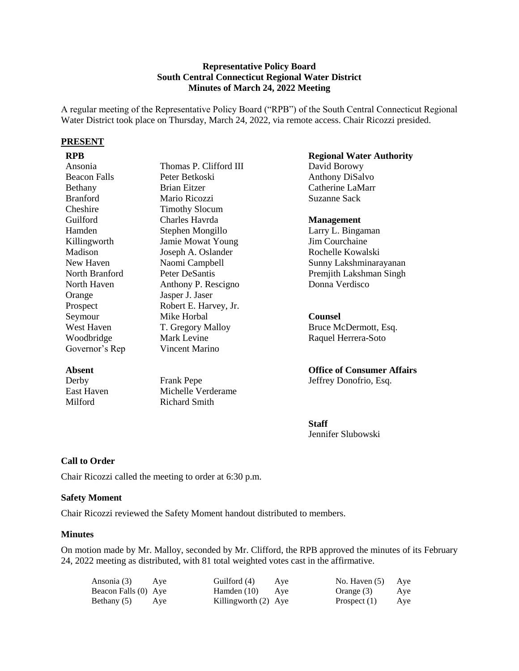#### **Representative Policy Board South Central Connecticut Regional Water District Minutes of March 24, 2022 Meeting**

A regular meeting of the Representative Policy Board ("RPB") of the South Central Connecticut Regional Water District took place on Thursday, March 24, 2022, via remote access. Chair Ricozzi presided.

#### **PRESENT**

| Ansonia         | Thomas P. Clifford III   |
|-----------------|--------------------------|
| Beacon Falls    | Peter Betkoski           |
| Bethany         | <b>Brian Eitzer</b>      |
| <b>Branford</b> | Mario Ricozzi            |
| Cheshire        | <b>Timothy Slocum</b>    |
| Guilford        | Charles Havrda           |
| Hamden          | Stephen Mongillo         |
| Killingworth    | <b>Jamie Mowat Young</b> |
| Madison         | Joseph A. Oslander       |
| New Haven       | Naomi Campbell           |
| North Branford  | Peter DeSantis           |
| North Haven     | Anthony P. Rescigno      |
| Orange          | Jasper J. Jaser          |
| Prospect        | Robert E. Harvey, Jr.    |
| Seymour         | Mike Horbal              |
| West Haven      | T. Gregory Malloy        |
| Woodbridge      | Mark Levine              |
| Governor's Rep  | Vincent Marino           |
|                 |                          |

## **Absent**

| Derby      | <b>Frank Pepe</b>  |
|------------|--------------------|
| East Haven | Michelle Verderame |
| Milford    | Richard Smith      |

#### **RPB Regional Water Authority**

David Borowy Anthony DiSalvo Catherine LaMarr Suzanne Sack

#### **Management**

Larry L. Bingaman Jim Courchaine Rochelle Kowalski Sunny Lakshminarayanan Premjith Lakshman Singh Donna Verdisco

### **Counsel**

Bruce McDermott, Esq. Raquel Herrera-Soto

# **Office of Consumer Affairs**

Jeffrey Donofrio, Esq.

**Staff** Jennifer Slubowski

## **Call to Order**

Chair Ricozzi called the meeting to order at 6:30 p.m.

#### **Safety Moment**

Chair Ricozzi reviewed the Safety Moment handout distributed to members.

#### **Minutes**

On motion made by Mr. Malloy, seconded by Mr. Clifford, the RPB approved the minutes of its February 24, 2022 meeting as distributed, with 81 total weighted votes cast in the affirmative.

| Ansonia (3) Aye      |     | Guilford (4)         | Aye | No. Haven $(5)$ | Aye |
|----------------------|-----|----------------------|-----|-----------------|-----|
| Beacon Falls (0) Aye |     | Hamden $(10)$ Aye    |     | Orange (3)      | Aye |
| Bethany (5)          | Aye | Killingworth (2) Aye |     | Prospect $(1)$  | Aye |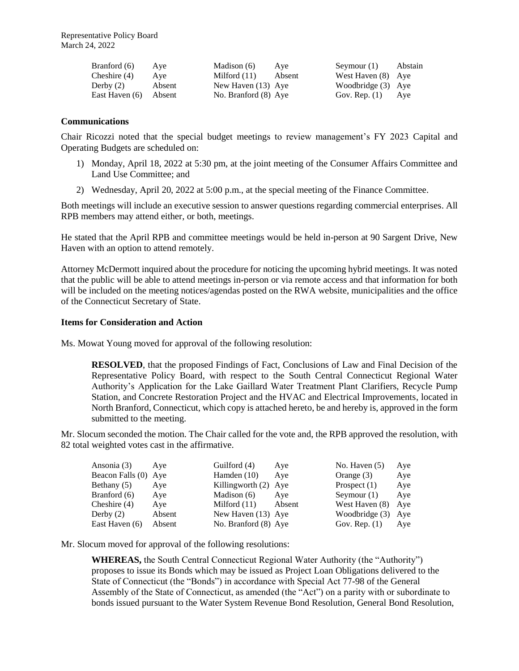Representative Policy Board March 24, 2022

| Branford (6)   | Aye    | Madison (6)          | Ave    | Seymour $(1)$      | Abstain |
|----------------|--------|----------------------|--------|--------------------|---------|
| Cheshire (4)   | Ave    | Milford $(11)$       | Absent | West Haven (8) Aye |         |
| Derby $(2)$    | Absent | New Haven (13) Aye   |        | Woodbridge (3) Aye |         |
| East Haven (6) | Absent | No. Branford (8) Aye |        | Gov. Rep. $(1)$    | Aye     |

#### **Communications**

Chair Ricozzi noted that the special budget meetings to review management's FY 2023 Capital and Operating Budgets are scheduled on:

- 1) Monday, April 18, 2022 at 5:30 pm, at the joint meeting of the Consumer Affairs Committee and Land Use Committee; and
- 2) Wednesday, April 20, 2022 at 5:00 p.m., at the special meeting of the Finance Committee.

Both meetings will include an executive session to answer questions regarding commercial enterprises. All RPB members may attend either, or both, meetings.

He stated that the April RPB and committee meetings would be held in-person at 90 Sargent Drive, New Haven with an option to attend remotely.

Attorney McDermott inquired about the procedure for noticing the upcoming hybrid meetings. It was noted that the public will be able to attend meetings in-person or via remote access and that information for both will be included on the meeting notices/agendas posted on the RWA website, municipalities and the office of the Connecticut Secretary of State.

#### **Items for Consideration and Action**

Ms. Mowat Young moved for approval of the following resolution:

**RESOLVED**, that the proposed Findings of Fact, Conclusions of Law and Final Decision of the Representative Policy Board, with respect to the South Central Connecticut Regional Water Authority's Application for the Lake Gaillard Water Treatment Plant Clarifiers, Recycle Pump Station, and Concrete Restoration Project and the HVAC and Electrical Improvements, located in North Branford, Connecticut, which copy is attached hereto, be and hereby is, approved in the form submitted to the meeting.

Mr. Slocum seconded the motion. The Chair called for the vote and, the RPB approved the resolution, with 82 total weighted votes cast in the affirmative.

| Ansonia (3)      | Ave    | Guilford (4)         | Aye    | No. Haven $(5)$ | Aye |
|------------------|--------|----------------------|--------|-----------------|-----|
| Beacon Falls (0) | Ave    | Hamden $(10)$        | Ave    | Orange $(3)$    | Aye |
| Bethany $(5)$    | Aye    | Killingworth $(2)$   | Aye    | Prospect $(1)$  | Aye |
| Branford (6)     | Aye    | Madison (6)          | Ave    | Seymour $(1)$   | Aye |
| Cheshire $(4)$   | Aye    | Milford $(11)$       | Absent | West Haven (8)  | Aye |
| Derby $(2)$      | Absent | New Haven (13) Aye   |        | Woodbridge (3)  | Aye |
| East Haven (6)   | Absent | No. Branford (8) Aye |        | Gov. Rep. $(1)$ | Aye |

Mr. Slocum moved for approval of the following resolutions:

**WHEREAS,** the South Central Connecticut Regional Water Authority (the "Authority") proposes to issue its Bonds which may be issued as Project Loan Obligations delivered to the State of Connecticut (the "Bonds") in accordance with Special Act 77-98 of the General Assembly of the State of Connecticut, as amended (the "Act") on a parity with or subordinate to bonds issued pursuant to the Water System Revenue Bond Resolution, General Bond Resolution,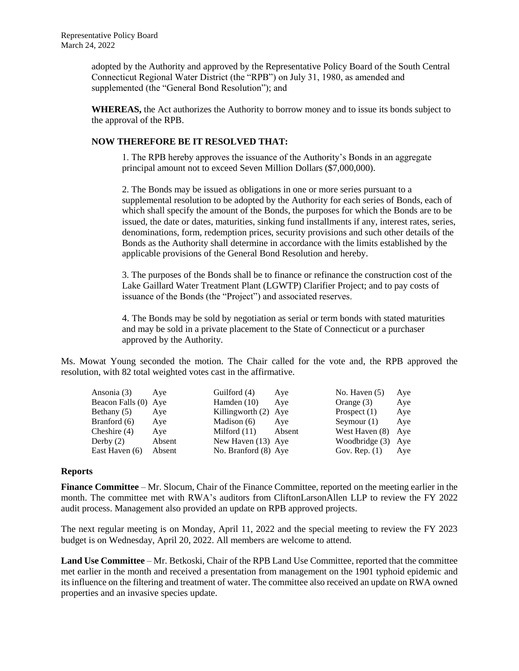adopted by the Authority and approved by the Representative Policy Board of the South Central Connecticut Regional Water District (the "RPB") on July 31, 1980, as amended and supplemented (the "General Bond Resolution"); and

**WHEREAS,** the Act authorizes the Authority to borrow money and to issue its bonds subject to the approval of the RPB.

## **NOW THEREFORE BE IT RESOLVED THAT:**

1. The RPB hereby approves the issuance of the Authority's Bonds in an aggregate principal amount not to exceed Seven Million Dollars (\$7,000,000).

2. The Bonds may be issued as obligations in one or more series pursuant to a supplemental resolution to be adopted by the Authority for each series of Bonds, each of which shall specify the amount of the Bonds, the purposes for which the Bonds are to be issued, the date or dates, maturities, sinking fund installments if any, interest rates, series, denominations, form, redemption prices, security provisions and such other details of the Bonds as the Authority shall determine in accordance with the limits established by the applicable provisions of the General Bond Resolution and hereby.

3. The purposes of the Bonds shall be to finance or refinance the construction cost of the Lake Gaillard Water Treatment Plant (LGWTP) Clarifier Project; and to pay costs of issuance of the Bonds (the "Project") and associated reserves.

4. The Bonds may be sold by negotiation as serial or term bonds with stated maturities and may be sold in a private placement to the State of Connecticut or a purchaser approved by the Authority.

Ms. Mowat Young seconded the motion. The Chair called for the vote and, the RPB approved the resolution, with 82 total weighted votes cast in the affirmative.

| Ansonia (3)          | Ave    | Guilford (4)         | Aye    | No. Haven $(5)$ | Aye |
|----------------------|--------|----------------------|--------|-----------------|-----|
| Beacon Falls (0) Aye |        | Hamden $(10)$        | Ave    | Orange $(3)$    | Aye |
| Bethany $(5)$        | Ave    | Killingworth (2) Aye |        | Prospect $(1)$  | Aye |
| Branford (6)         | Aye    | Madison $(6)$        | Ave    | Seymour $(1)$   | Aye |
| Cheshire $(4)$       | Aye    | Milford $(11)$       | Absent | West Haven (8)  | Aye |
| Derby $(2)$          | Absent | New Haven (13) Aye   |        | Woodbridge (3)  | Aye |
| East Haven (6)       | Absent | No. Branford (8) Aye |        | Gov. Rep. $(1)$ | Aye |

### **Reports**

**Finance Committee** – Mr. Slocum, Chair of the Finance Committee, reported on the meeting earlier in the month. The committee met with RWA's auditors from CliftonLarsonAllen LLP to review the FY 2022 audit process. Management also provided an update on RPB approved projects.

The next regular meeting is on Monday, April 11, 2022 and the special meeting to review the FY 2023 budget is on Wednesday, April 20, 2022. All members are welcome to attend.

**Land Use Committee** – Mr. Betkoski, Chair of the RPB Land Use Committee, reported that the committee met earlier in the month and received a presentation from management on the 1901 typhoid epidemic and its influence on the filtering and treatment of water. The committee also received an update on RWA owned properties and an invasive species update.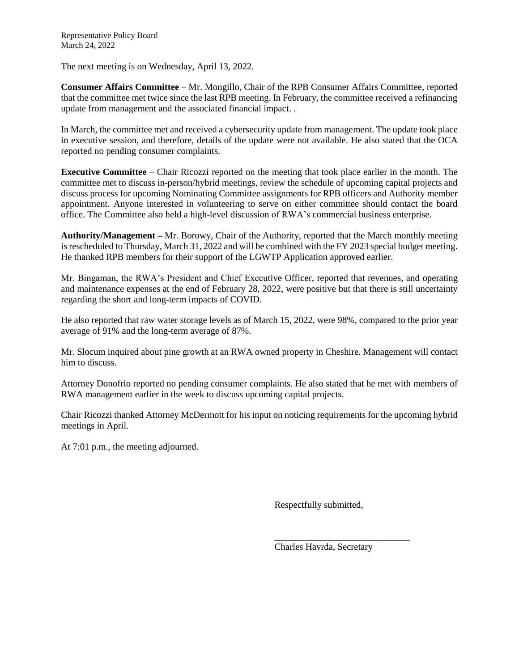The next meeting is on Wednesday, April 13, 2022.

**Consumer Affairs Committee** – Mr. Mongillo, Chair of the RPB Consumer Affairs Committee, reported that the committee met twice since the last RPB meeting. In February, the committee received a refinancing update from management and the associated financial impact. .

In March, the committee met and received a cybersecurity update from management. The update took place in executive session, and therefore, details of the update were not available. He also stated that the OCA reported no pending consumer complaints.

**Executive Committee** – Chair Ricozzi reported on the meeting that took place earlier in the month. The committee met to discuss in-person/hybrid meetings, review the schedule of upcoming capital projects and discuss process for upcoming Nominating Committee assignments for RPB officers and Authority member appointment. Anyone interested in volunteering to serve on either committee should contact the board office. The Committee also held a high-level discussion of RWA's commercial business enterprise.

**Authority/Management –** Mr. Borowy, Chair of the Authority, reported that the March monthly meeting is rescheduled to Thursday, March 31, 2022 and will be combined with the FY 2023 special budget meeting. He thanked RPB members for their support of the LGWTP Application approved earlier.

Mr. Bingaman, the RWA's President and Chief Executive Officer, reported that revenues, and operating and maintenance expenses at the end of February 28, 2022, were positive but that there is still uncertainty regarding the short and long-term impacts of COVID.

He also reported that raw water storage levels as of March 15, 2022, were 98%, compared to the prior year average of 91% and the long-term average of 87%.

Mr. Slocum inquired about pine growth at an RWA owned property in Cheshire. Management will contact him to discuss.

Attorney Donofrio reported no pending consumer complaints. He also stated that he met with members of RWA management earlier in the week to discuss upcoming capital projects.

Chair Ricozzi thanked Attorney McDermott for his input on noticing requirements for the upcoming hybrid meetings in April.

At 7:01 p.m., the meeting adjourned.

Respectfully submitted,

Charles Havrda, Secretary

\_\_\_\_\_\_\_\_\_\_\_\_\_\_\_\_\_\_\_\_\_\_\_\_\_\_\_\_\_